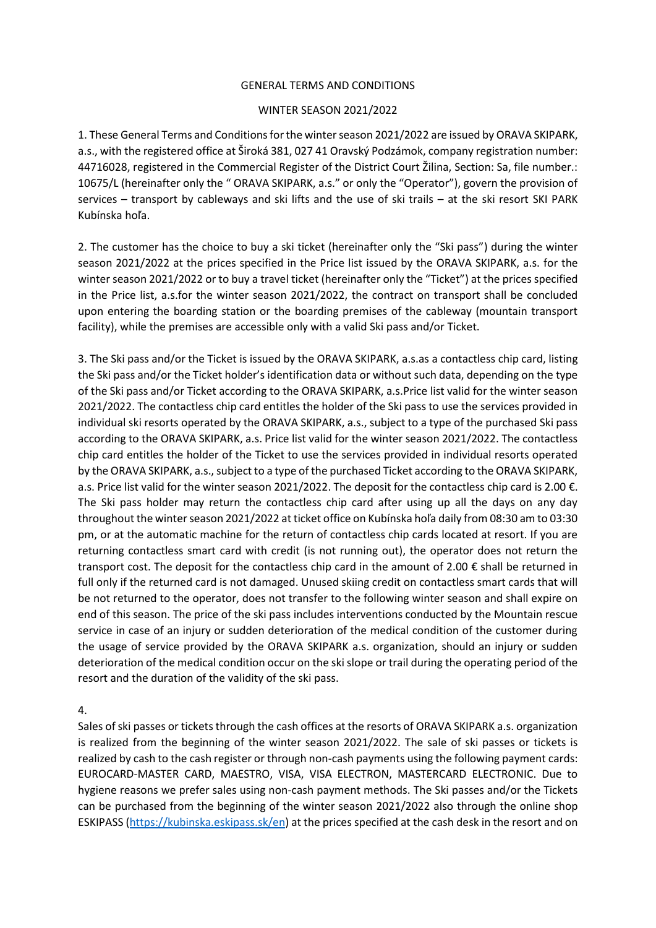#### GENERAL TERMS AND CONDITIONS

#### WINTER SEASON 2021/2022

1. These General Terms and Conditions for the winter season 2021/2022 are issued by ORAVA SKIPARK, a.s., with the registered office at Široká 381, 027 41 Oravský Podzámok, company registration number: 44716028, registered in the Commercial Register of the District Court Žilina, Section: Sa, file number.: 10675/L (hereinafter only the " ORAVA SKIPARK, a.s." or only the "Operator"), govern the provision of services – transport by cableways and ski lifts and the use of ski trails – at the ski resort SKI PARK Kubínska hoľa.

2. The customer has the choice to buy a ski ticket (hereinafter only the "Ski pass") during the winter season 2021/2022 at the prices specified in the Price list issued by the ORAVA SKIPARK, a.s. for the winter season 2021/2022 or to buy a travel ticket (hereinafter only the "Ticket") at the prices specified in the Price list, a.s.for the winter season 2021/2022, the contract on transport shall be concluded upon entering the boarding station or the boarding premises of the cableway (mountain transport facility), while the premises are accessible only with a valid Ski pass and/or Ticket.

3. The Ski pass and/or the Ticket is issued by the ORAVA SKIPARK, a.s.as a contactless chip card, listing the Ski pass and/or the Ticket holder's identification data or without such data, depending on the type of the Ski pass and/or Ticket according to the ORAVA SKIPARK, a.s.Price list valid for the winter season 2021/2022. The contactless chip card entitles the holder of the Ski pass to use the services provided in individual ski resorts operated by the ORAVA SKIPARK, a.s., subject to a type of the purchased Ski pass according to the ORAVA SKIPARK, a.s. Price list valid for the winter season 2021/2022. The contactless chip card entitles the holder of the Ticket to use the services provided in individual resorts operated by the ORAVA SKIPARK, a.s., subject to a type of the purchased Ticket according to the ORAVA SKIPARK, a.s. Price list valid for the winter season 2021/2022. The deposit for the contactless chip card is 2.00 €. The Ski pass holder may return the contactless chip card after using up all the days on any day throughout the winter season 2021/2022 at ticket office on Kubínska hoľa daily from 08:30 am to 03:30 pm, or at the automatic machine for the return of contactless chip cards located at resort. If you are returning contactless smart card with credit (is not running out), the operator does not return the transport cost. The deposit for the contactless chip card in the amount of 2.00 € shall be returned in full only if the returned card is not damaged. Unused skiing credit on contactless smart cards that will be not returned to the operator, does not transfer to the following winter season and shall expire on end of this season. The price of the ski pass includes interventions conducted by the Mountain rescue service in case of an injury or sudden deterioration of the medical condition of the customer during the usage of service provided by the ORAVA SKIPARK a.s. organization, should an injury or sudden deterioration of the medical condition occur on the ski slope or trail during the operating period of the resort and the duration of the validity of the ski pass.

4.

Sales of ski passes or tickets through the cash offices at the resorts of ORAVA SKIPARK a.s. organization is realized from the beginning of the winter season 2021/2022. The sale of ski passes or tickets is realized by cash to the cash register or through non-cash payments using the following payment cards: EUROCARD-MASTER CARD, MAESTRO, VISA, VISA ELECTRON, MASTERCARD ELECTRONIC. Due to hygiene reasons we prefer sales using non-cash payment methods. The Ski passes and/or the Tickets can be purchased from the beginning of the winter season 2021/2022 also through the online shop ESKIPASS [\(https://kubinska.eskipass.sk/en\)](https://kubinska.eskipass.sk/en) at the prices specified at the cash desk in the resort and on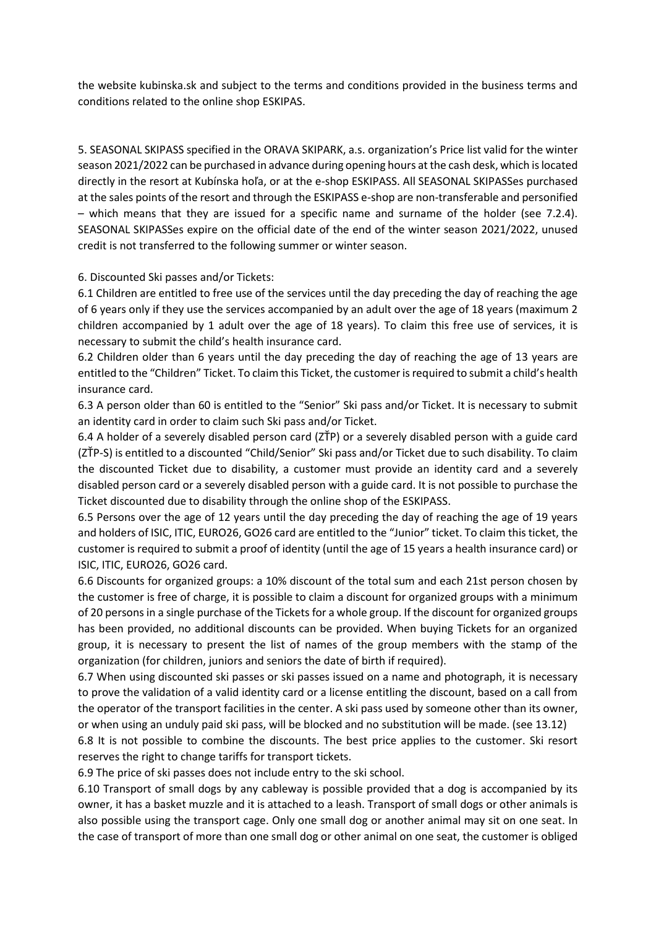the website kubinska.sk and subject to the terms and conditions provided in the business terms and conditions related to the online shop ESKIPAS.

5. SEASONAL SKIPASS specified in the ORAVA SKIPARK, a.s. organization's Price list valid for the winter season 2021/2022 can be purchased in advance during opening hours at the cash desk, which is located directly in the resort at Kubínska hoľa, or at the e-shop ESKIPASS. All SEASONAL SKIPASSes purchased at the sales points of the resort and through the ESKIPASS e-shop are non-transferable and personified – which means that they are issued for a specific name and surname of the holder (see 7.2.4). SEASONAL SKIPASSes expire on the official date of the end of the winter season 2021/2022, unused credit is not transferred to the following summer or winter season.

## 6. Discounted Ski passes and/or Tickets:

6.1 Children are entitled to free use of the services until the day preceding the day of reaching the age of 6 years only if they use the services accompanied by an adult over the age of 18 years (maximum 2 children accompanied by 1 adult over the age of 18 years). To claim this free use of services, it is necessary to submit the child's health insurance card.

6.2 Children older than 6 years until the day preceding the day of reaching the age of 13 years are entitled to the "Children" Ticket. To claim this Ticket, the customer is required to submit a child's health insurance card.

6.3 A person older than 60 is entitled to the "Senior" Ski pass and/or Ticket. It is necessary to submit an identity card in order to claim such Ski pass and/or Ticket.

6.4 A holder of a severely disabled person card (ZŤP) or a severely disabled person with a guide card (ZŤP-S) is entitled to a discounted "Child/Senior" Ski pass and/or Ticket due to such disability. To claim the discounted Ticket due to disability, a customer must provide an identity card and a severely disabled person card or a severely disabled person with a guide card. It is not possible to purchase the Ticket discounted due to disability through the online shop of the ESKIPASS.

6.5 Persons over the age of 12 years until the day preceding the day of reaching the age of 19 years and holders of ISIC, ITIC, EURO26, GO26 card are entitled to the "Junior" ticket. To claim this ticket, the customer is required to submit a proof of identity (until the age of 15 years a health insurance card) or ISIC, ITIC, EURO26, GO26 card.

6.6 Discounts for organized groups: a 10% discount of the total sum and each 21st person chosen by the customer is free of charge, it is possible to claim a discount for organized groups with a minimum of 20 persons in a single purchase of the Tickets for a whole group. If the discount for organized groups has been provided, no additional discounts can be provided. When buying Tickets for an organized group, it is necessary to present the list of names of the group members with the stamp of the organization (for children, juniors and seniors the date of birth if required).

6.7 When using discounted ski passes or ski passes issued on a name and photograph, it is necessary to prove the validation of a valid identity card or a license entitling the discount, based on a call from the operator of the transport facilities in the center. A ski pass used by someone other than its owner, or when using an unduly paid ski pass, will be blocked and no substitution will be made. (see 13.12)

6.8 It is not possible to combine the discounts. The best price applies to the customer. Ski resort reserves the right to change tariffs for transport tickets.

6.9 The price of ski passes does not include entry to the ski school.

6.10 Transport of small dogs by any cableway is possible provided that a dog is accompanied by its owner, it has a basket muzzle and it is attached to a leash. Transport of small dogs or other animals is also possible using the transport cage. Only one small dog or another animal may sit on one seat. In the case of transport of more than one small dog or other animal on one seat, the customer is obliged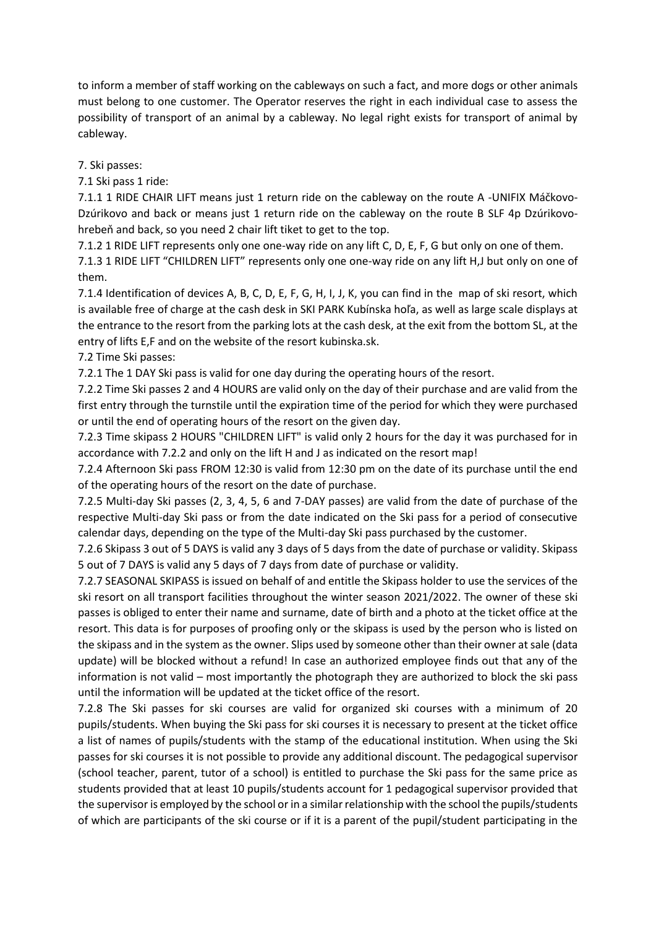to inform a member of staff working on the cableways on such a fact, and more dogs or other animals must belong to one customer. The Operator reserves the right in each individual case to assess the possibility of transport of an animal by a cableway. No legal right exists for transport of animal by cableway.

7. Ski passes:

7.1 Ski pass 1 ride:

7.1.1 1 RIDE CHAIR LIFT means just 1 return ride on the cableway on the route A -UNIFIX Máčkovo-Dzúrikovo and back or means just 1 return ride on the cableway on the route B SLF 4p Dzúrikovohrebeň and back, so you need 2 chair lift tiket to get to the top.

7.1.2 1 RIDE LIFT represents only one one-way ride on any lift C, D, E, F, G but only on one of them.

7.1.3 1 RIDE LIFT "CHILDREN LIFT" represents only one one-way ride on any lift H,J but only on one of them.

7.1.4 Identification of devices A, B, C, D, E, F, G, H, I, J, K, you can find in the map of ski resort, which is available free of charge at the cash desk in SKI PARK Kubínska hoľa, as well as large scale displays at the entrance to the resort from the parking lots at the cash desk, at the exit from the bottom SL, at the entry of lifts E,F and on the website of the resort kubinska.sk.

7.2 Time Ski passes:

7.2.1 The 1 DAY Ski pass is valid for one day during the operating hours of the resort.

7.2.2 Time Ski passes 2 and 4 HOURS are valid only on the day of their purchase and are valid from the first entry through the turnstile until the expiration time of the period for which they were purchased or until the end of operating hours of the resort on the given day.

7.2.3 Time skipass 2 HOURS "CHILDREN LIFT" is valid only 2 hours for the day it was purchased for in accordance with 7.2.2 and only on the lift H and J as indicated on the resort map!

7.2.4 Afternoon Ski pass FROM 12:30 is valid from 12:30 pm on the date of its purchase until the end of the operating hours of the resort on the date of purchase.

7.2.5 Multi-day Ski passes (2, 3, 4, 5, 6 and 7-DAY passes) are valid from the date of purchase of the respective Multi-day Ski pass or from the date indicated on the Ski pass for a period of consecutive calendar days, depending on the type of the Multi-day Ski pass purchased by the customer.

7.2.6 Skipass 3 out of 5 DAYS is valid any 3 days of 5 days from the date of purchase or validity. Skipass 5 out of 7 DAYS is valid any 5 days of 7 days from date of purchase or validity.

7.2.7 SEASONAL SKIPASS is issued on behalf of and entitle the Skipass holder to use the services of the ski resort on all transport facilities throughout the winter season 2021/2022. The owner of these ski passes is obliged to enter their name and surname, date of birth and a photo at the ticket office at the resort. This data is for purposes of proofing only or the skipass is used by the person who is listed on the skipass and in the system as the owner. Slips used by someone other than their owner at sale (data update) will be blocked without a refund! In case an authorized employee finds out that any of the information is not valid – most importantly the photograph they are authorized to block the ski pass until the information will be updated at the ticket office of the resort.

7.2.8 The Ski passes for ski courses are valid for organized ski courses with a minimum of 20 pupils/students. When buying the Ski pass for ski courses it is necessary to present at the ticket office a list of names of pupils/students with the stamp of the educational institution. When using the Ski passes for ski courses it is not possible to provide any additional discount. The pedagogical supervisor (school teacher, parent, tutor of a school) is entitled to purchase the Ski pass for the same price as students provided that at least 10 pupils/students account for 1 pedagogical supervisor provided that the supervisor is employed by the school or in a similar relationship with the school the pupils/students of which are participants of the ski course or if it is a parent of the pupil/student participating in the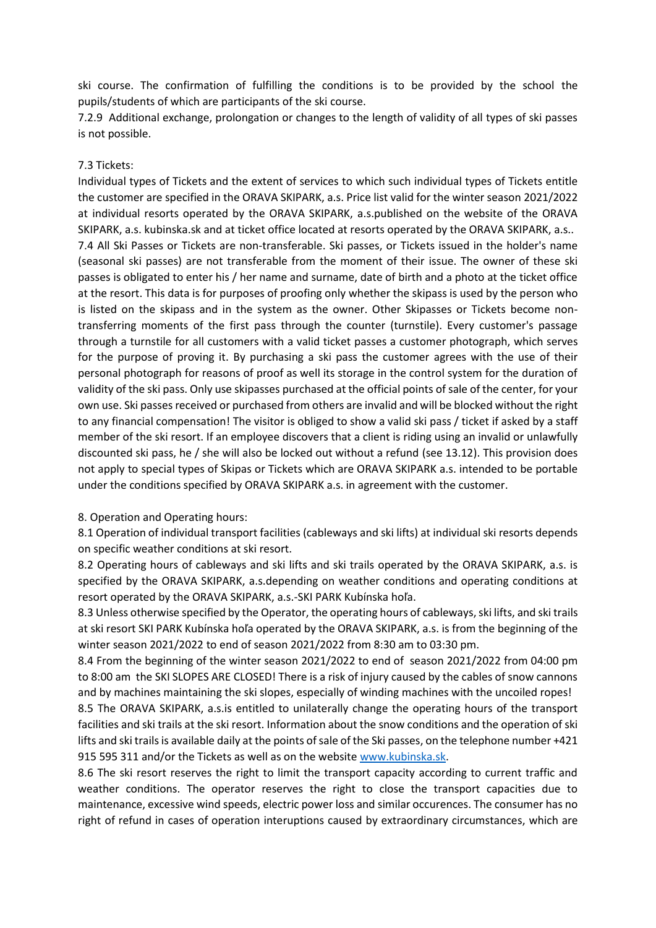ski course. The confirmation of fulfilling the conditions is to be provided by the school the pupils/students of which are participants of the ski course.

7.2.9 Additional exchange, prolongation or changes to the length of validity of all types of ski passes is not possible.

## 7.3 Tickets:

Individual types of Tickets and the extent of services to which such individual types of Tickets entitle the customer are specified in the ORAVA SKIPARK, a.s. Price list valid for the winter season 2021/2022 at individual resorts operated by the ORAVA SKIPARK, a.s.published on the website of the ORAVA SKIPARK, a.s. kubinska.sk and at ticket office located at resorts operated by the ORAVA SKIPARK, a.s.. 7.4 All Ski Passes or Tickets are non-transferable. Ski passes, or Tickets issued in the holder's name (seasonal ski passes) are not transferable from the moment of their issue. The owner of these ski passes is obligated to enter his / her name and surname, date of birth and a photo at the ticket office at the resort. This data is for purposes of proofing only whether the skipass is used by the person who is listed on the skipass and in the system as the owner. Other Skipasses or Tickets become nontransferring moments of the first pass through the counter (turnstile). Every customer's passage through a turnstile for all customers with a valid ticket passes a customer photograph, which serves for the purpose of proving it. By purchasing a ski pass the customer agrees with the use of their personal photograph for reasons of proof as well its storage in the control system for the duration of validity of the ski pass. Only use skipasses purchased at the official points of sale of the center, for your own use. Ski passes received or purchased from others are invalid and will be blocked without the right to any financial compensation! The visitor is obliged to show a valid ski pass / ticket if asked by a staff member of the ski resort. If an employee discovers that a client is riding using an invalid or unlawfully discounted ski pass, he / she will also be locked out without a refund (see 13.12). This provision does not apply to special types of Skipas or Tickets which are ORAVA SKIPARK a.s. intended to be portable under the conditions specified by ORAVA SKIPARK a.s. in agreement with the customer.

## 8. Operation and Operating hours:

8.1 Operation of individual transport facilities (cableways and ski lifts) at individual ski resorts depends on specific weather conditions at ski resort.

8.2 Operating hours of cableways and ski lifts and ski trails operated by the ORAVA SKIPARK, a.s. is specified by the ORAVA SKIPARK, a.s.depending on weather conditions and operating conditions at resort operated by the ORAVA SKIPARK, a.s.-SKI PARK Kubínska hoľa.

8.3 Unless otherwise specified by the Operator, the operating hours of cableways, ski lifts, and ski trails at ski resort SKI PARK Kubínska hoľa operated by the ORAVA SKIPARK, a.s. is from the beginning of the winter season 2021/2022 to end of season 2021/2022 from 8:30 am to 03:30 pm.

8.4 From the beginning of the winter season 2021/2022 to end of season 2021/2022 from 04:00 pm to 8:00 am the SKI SLOPES ARE CLOSED! There is a risk of injury caused by the cables of snow cannons and by machines maintaining the ski slopes, especially of winding machines with the uncoiled ropes!

8.5 The ORAVA SKIPARK, a.s.is entitled to unilaterally change the operating hours of the transport facilities and ski trails at the ski resort. Information about the snow conditions and the operation of ski lifts and ski trails is available daily at the points of sale of the Ski passes, on the telephone number +421 915 595 311 and/or the Tickets as well as on the websit[e www.kubinska.sk.](http://www.kubinska.sk/)

8.6 The ski resort reserves the right to limit the transport capacity according to current traffic and weather conditions. The operator reserves the right to close the transport capacities due to maintenance, excessive wind speeds, electric power loss and similar occurences. The consumer has no right of refund in cases of operation interuptions caused by extraordinary circumstances, which are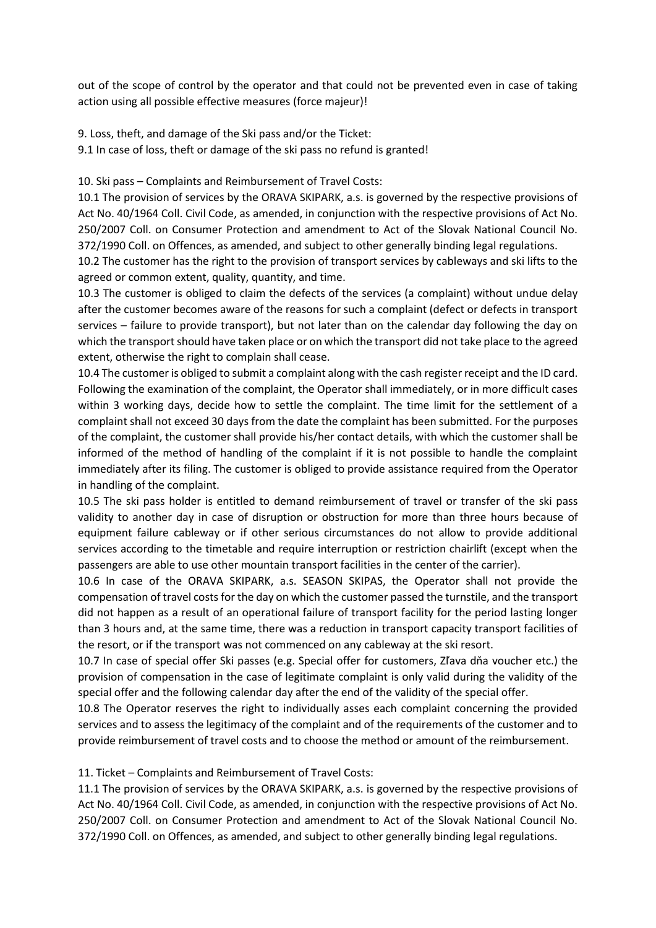out of the scope of control by the operator and that could not be prevented even in case of taking action using all possible effective measures (force majeur)!

9. Loss, theft, and damage of the Ski pass and/or the Ticket:

9.1 In case of loss, theft or damage of the ski pass no refund is granted!

10. Ski pass – Complaints and Reimbursement of Travel Costs:

10.1 The provision of services by the ORAVA SKIPARK, a.s. is governed by the respective provisions of Act No. 40/1964 Coll. Civil Code, as amended, in conjunction with the respective provisions of Act No. 250/2007 Coll. on Consumer Protection and amendment to Act of the Slovak National Council No. 372/1990 Coll. on Offences, as amended, and subject to other generally binding legal regulations.

10.2 The customer has the right to the provision of transport services by cableways and ski lifts to the agreed or common extent, quality, quantity, and time.

10.3 The customer is obliged to claim the defects of the services (a complaint) without undue delay after the customer becomes aware of the reasons for such a complaint (defect or defects in transport services – failure to provide transport), but not later than on the calendar day following the day on which the transport should have taken place or on which the transport did not take place to the agreed extent, otherwise the right to complain shall cease.

10.4 The customer is obliged to submit a complaint along with the cash register receipt and the ID card. Following the examination of the complaint, the Operator shall immediately, or in more difficult cases within 3 working days, decide how to settle the complaint. The time limit for the settlement of a complaint shall not exceed 30 days from the date the complaint has been submitted. For the purposes of the complaint, the customer shall provide his/her contact details, with which the customer shall be informed of the method of handling of the complaint if it is not possible to handle the complaint immediately after its filing. The customer is obliged to provide assistance required from the Operator in handling of the complaint.

10.5 The ski pass holder is entitled to demand reimbursement of travel or transfer of the ski pass validity to another day in case of disruption or obstruction for more than three hours because of equipment failure cableway or if other serious circumstances do not allow to provide additional services according to the timetable and require interruption or restriction chairlift (except when the passengers are able to use other mountain transport facilities in the center of the carrier).

10.6 In case of the ORAVA SKIPARK, a.s. SEASON SKIPAS, the Operator shall not provide the compensation of travel costs for the day on which the customer passed the turnstile, and the transport did not happen as a result of an operational failure of transport facility for the period lasting longer than 3 hours and, at the same time, there was a reduction in transport capacity transport facilities of the resort, or if the transport was not commenced on any cableway at the ski resort.

10.7 In case of special offer Ski passes (e.g. Special offer for customers, Zľava dňa voucher etc.) the provision of compensation in the case of legitimate complaint is only valid during the validity of the special offer and the following calendar day after the end of the validity of the special offer.

10.8 The Operator reserves the right to individually asses each complaint concerning the provided services and to assess the legitimacy of the complaint and of the requirements of the customer and to provide reimbursement of travel costs and to choose the method or amount of the reimbursement.

11. Ticket – Complaints and Reimbursement of Travel Costs:

11.1 The provision of services by the ORAVA SKIPARK, a.s. is governed by the respective provisions of Act No. 40/1964 Coll. Civil Code, as amended, in conjunction with the respective provisions of Act No. 250/2007 Coll. on Consumer Protection and amendment to Act of the Slovak National Council No. 372/1990 Coll. on Offences, as amended, and subject to other generally binding legal regulations.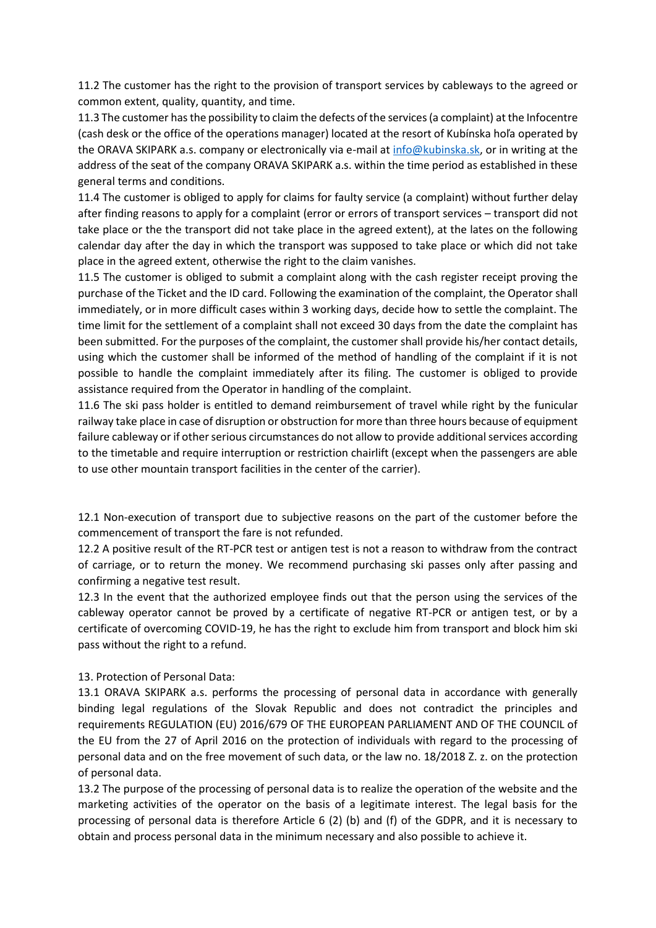11.2 The customer has the right to the provision of transport services by cableways to the agreed or common extent, quality, quantity, and time.

11.3 The customer has the possibility to claim the defects of the services (a complaint) at the Infocentre (cash desk or the office of the operations manager) located at the resort of Kubínska hoľa operated by the ORAVA SKIPARK a.s. company or electronically via e-mail a[t info@kubinska.sk,](mailto:info@kubinska.sk) or in writing at the address of the seat of the company ORAVA SKIPARK a.s. within the time period as established in these general terms and conditions.

11.4 The customer is obliged to apply for claims for faulty service (a complaint) without further delay after finding reasons to apply for a complaint (error or errors of transport services – transport did not take place or the the transport did not take place in the agreed extent), at the lates on the following calendar day after the day in which the transport was supposed to take place or which did not take place in the agreed extent, otherwise the right to the claim vanishes.

11.5 The customer is obliged to submit a complaint along with the cash register receipt proving the purchase of the Ticket and the ID card. Following the examination of the complaint, the Operator shall immediately, or in more difficult cases within 3 working days, decide how to settle the complaint. The time limit for the settlement of a complaint shall not exceed 30 days from the date the complaint has been submitted. For the purposes of the complaint, the customer shall provide his/her contact details, using which the customer shall be informed of the method of handling of the complaint if it is not possible to handle the complaint immediately after its filing. The customer is obliged to provide assistance required from the Operator in handling of the complaint.

11.6 The ski pass holder is entitled to demand reimbursement of travel while right by the funicular railway take place in case of disruption or obstruction for more than three hours because of equipment failure cableway or if other serious circumstances do not allow to provide additional services according to the timetable and require interruption or restriction chairlift (except when the passengers are able to use other mountain transport facilities in the center of the carrier).

12.1 Non-execution of transport due to subjective reasons on the part of the customer before the commencement of transport the fare is not refunded.

12.2 A positive result of the RT-PCR test or antigen test is not a reason to withdraw from the contract of carriage, or to return the money. We recommend purchasing ski passes only after passing and confirming a negative test result.

12.3 In the event that the authorized employee finds out that the person using the services of the cableway operator cannot be proved by a certificate of negative RT-PCR or antigen test, or by a certificate of overcoming COVID-19, he has the right to exclude him from transport and block him ski pass without the right to a refund.

# 13. Protection of Personal Data:

13.1 ORAVA SKIPARK a.s. performs the processing of personal data in accordance with generally binding legal regulations of the Slovak Republic and does not contradict the principles and requirements REGULATION (EU) 2016/679 OF THE EUROPEAN PARLIAMENT AND OF THE COUNCIL of the EU from the 27 of April 2016 on the protection of individuals with regard to the processing of personal data and on the free movement of such data, or the law no. 18/2018 Z. z. on the protection of personal data.

13.2 The purpose of the processing of personal data is to realize the operation of the website and the marketing activities of the operator on the basis of a legitimate interest. The legal basis for the processing of personal data is therefore Article 6 (2) (b) and (f) of the GDPR, and it is necessary to obtain and process personal data in the minimum necessary and also possible to achieve it.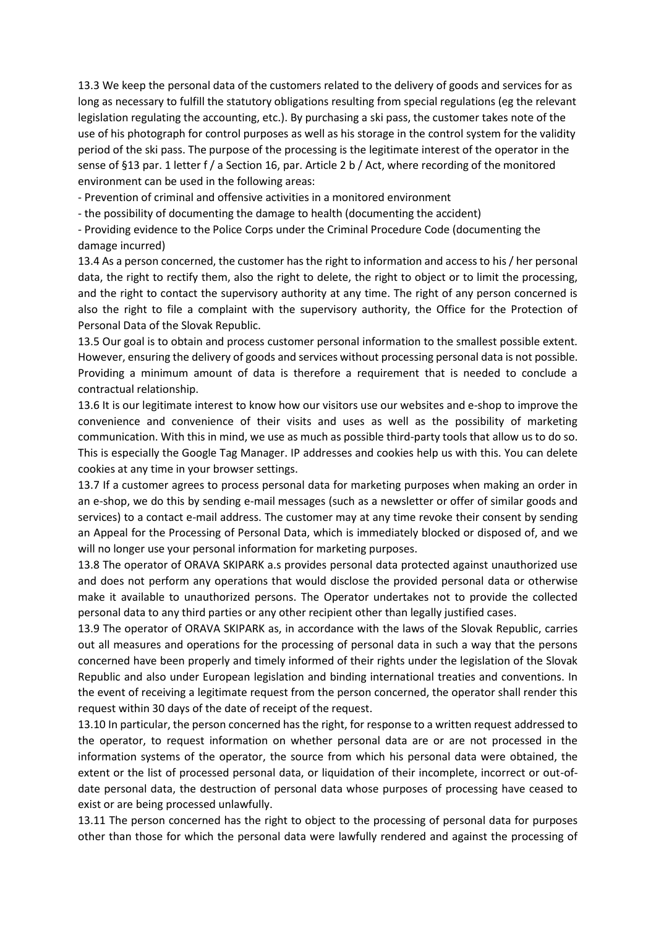13.3 We keep the personal data of the customers related to the delivery of goods and services for as long as necessary to fulfill the statutory obligations resulting from special regulations (eg the relevant legislation regulating the accounting, etc.). By purchasing a ski pass, the customer takes note of the use of his photograph for control purposes as well as his storage in the control system for the validity period of the ski pass. The purpose of the processing is the legitimate interest of the operator in the sense of §13 par. 1 letter f / a Section 16, par. Article 2 b / Act, where recording of the monitored environment can be used in the following areas:

- Prevention of criminal and offensive activities in a monitored environment

- the possibility of documenting the damage to health (documenting the accident)

- Providing evidence to the Police Corps under the Criminal Procedure Code (documenting the damage incurred)

13.4 As a person concerned, the customer has the right to information and access to his / her personal data, the right to rectify them, also the right to delete, the right to object or to limit the processing, and the right to contact the supervisory authority at any time. The right of any person concerned is also the right to file a complaint with the supervisory authority, the Office for the Protection of Personal Data of the Slovak Republic.

13.5 Our goal is to obtain and process customer personal information to the smallest possible extent. However, ensuring the delivery of goods and services without processing personal data is not possible. Providing a minimum amount of data is therefore a requirement that is needed to conclude a contractual relationship.

13.6 It is our legitimate interest to know how our visitors use our websites and e-shop to improve the convenience and convenience of their visits and uses as well as the possibility of marketing communication. With this in mind, we use as much as possible third-party tools that allow us to do so. This is especially the Google Tag Manager. IP addresses and cookies help us with this. You can delete cookies at any time in your browser settings.

13.7 If a customer agrees to process personal data for marketing purposes when making an order in an e-shop, we do this by sending e-mail messages (such as a newsletter or offer of similar goods and services) to a contact e-mail address. The customer may at any time revoke their consent by sending an Appeal for the Processing of Personal Data, which is immediately blocked or disposed of, and we will no longer use your personal information for marketing purposes.

13.8 The operator of ORAVA SKIPARK a.s provides personal data protected against unauthorized use and does not perform any operations that would disclose the provided personal data or otherwise make it available to unauthorized persons. The Operator undertakes not to provide the collected personal data to any third parties or any other recipient other than legally justified cases.

13.9 The operator of ORAVA SKIPARK as, in accordance with the laws of the Slovak Republic, carries out all measures and operations for the processing of personal data in such a way that the persons concerned have been properly and timely informed of their rights under the legislation of the Slovak Republic and also under European legislation and binding international treaties and conventions. In the event of receiving a legitimate request from the person concerned, the operator shall render this request within 30 days of the date of receipt of the request.

13.10 In particular, the person concerned has the right, for response to a written request addressed to the operator, to request information on whether personal data are or are not processed in the information systems of the operator, the source from which his personal data were obtained, the extent or the list of processed personal data, or liquidation of their incomplete, incorrect or out-ofdate personal data, the destruction of personal data whose purposes of processing have ceased to exist or are being processed unlawfully.

13.11 The person concerned has the right to object to the processing of personal data for purposes other than those for which the personal data were lawfully rendered and against the processing of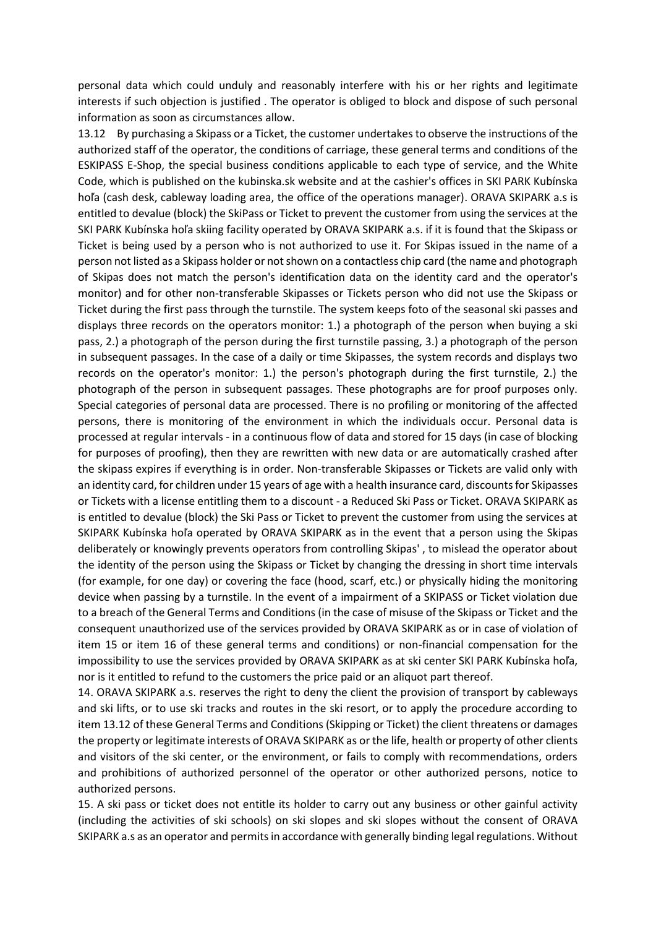personal data which could unduly and reasonably interfere with his or her rights and legitimate interests if such objection is justified . The operator is obliged to block and dispose of such personal information as soon as circumstances allow.

13.12 By purchasing a Skipass or a Ticket, the customer undertakes to observe the instructions of the authorized staff of the operator, the conditions of carriage, these general terms and conditions of the ESKIPASS E-Shop, the special business conditions applicable to each type of service, and the White Code, which is published on the kubinska.sk website and at the cashier's offices in SKI PARK Kubínska hoľa (cash desk, cableway loading area, the office of the operations manager). ORAVA SKIPARK a.s is entitled to devalue (block) the SkiPass or Ticket to prevent the customer from using the services at the SKI PARK Kubínska hoľa skiing facility operated by ORAVA SKIPARK a.s. if it is found that the Skipass or Ticket is being used by a person who is not authorized to use it. For Skipas issued in the name of a person not listed as a Skipass holder or not shown on a contactless chip card (the name and photograph of Skipas does not match the person's identification data on the identity card and the operator's monitor) and for other non-transferable Skipasses or Tickets person who did not use the Skipass or Ticket during the first pass through the turnstile. The system keeps foto of the seasonal ski passes and displays three records on the operators monitor: 1.) a photograph of the person when buying a ski pass, 2.) a photograph of the person during the first turnstile passing, 3.) a photograph of the person in subsequent passages. In the case of a daily or time Skipasses, the system records and displays two records on the operator's monitor: 1.) the person's photograph during the first turnstile, 2.) the photograph of the person in subsequent passages. These photographs are for proof purposes only. Special categories of personal data are processed. There is no profiling or monitoring of the affected persons, there is monitoring of the environment in which the individuals occur. Personal data is processed at regular intervals - in a continuous flow of data and stored for 15 days (in case of blocking for purposes of proofing), then they are rewritten with new data or are automatically crashed after the skipass expires if everything is in order. Non-transferable Skipasses or Tickets are valid only with an identity card, for children under 15 years of age with a health insurance card, discounts for Skipasses or Tickets with a license entitling them to a discount - a Reduced Ski Pass or Ticket. ORAVA SKIPARK as is entitled to devalue (block) the Ski Pass or Ticket to prevent the customer from using the services at SKIPARK Kubínska hoľa operated by ORAVA SKIPARK as in the event that a person using the Skipas deliberately or knowingly prevents operators from controlling Skipas' , to mislead the operator about the identity of the person using the Skipass or Ticket by changing the dressing in short time intervals (for example, for one day) or covering the face (hood, scarf, etc.) or physically hiding the monitoring device when passing by a turnstile. In the event of a impairment of a SKIPASS or Ticket violation due to a breach of the General Terms and Conditions (in the case of misuse of the Skipass or Ticket and the consequent unauthorized use of the services provided by ORAVA SKIPARK as or in case of violation of item 15 or item 16 of these general terms and conditions) or non-financial compensation for the impossibility to use the services provided by ORAVA SKIPARK as at ski center SKI PARK Kubínska hoľa, nor is it entitled to refund to the customers the price paid or an aliquot part thereof.

14. ORAVA SKIPARK a.s. reserves the right to deny the client the provision of transport by cableways and ski lifts, or to use ski tracks and routes in the ski resort, or to apply the procedure according to item 13.12 of these General Terms and Conditions (Skipping or Ticket) the client threatens or damages the property or legitimate interests of ORAVA SKIPARK as or the life, health or property of other clients and visitors of the ski center, or the environment, or fails to comply with recommendations, orders and prohibitions of authorized personnel of the operator or other authorized persons, notice to authorized persons.

15. A ski pass or ticket does not entitle its holder to carry out any business or other gainful activity (including the activities of ski schools) on ski slopes and ski slopes without the consent of ORAVA SKIPARK a.s as an operator and permits in accordance with generally binding legal regulations. Without